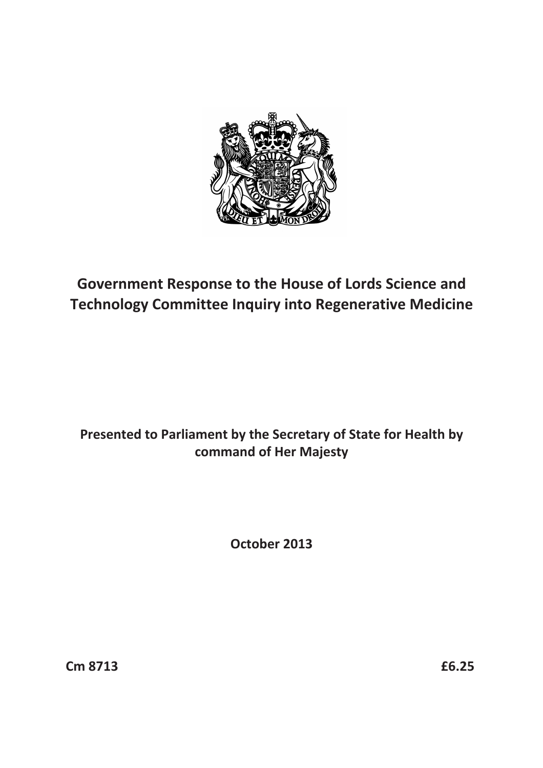

# **Government Response to the House of Lords Science and Technology Committee Inquiry into Regenerative Medicine**

# **Presented to Parliament by the Secretary of State for Health by command of Her Majesty**

**October 2013** 

**Cm 8713 £6.25**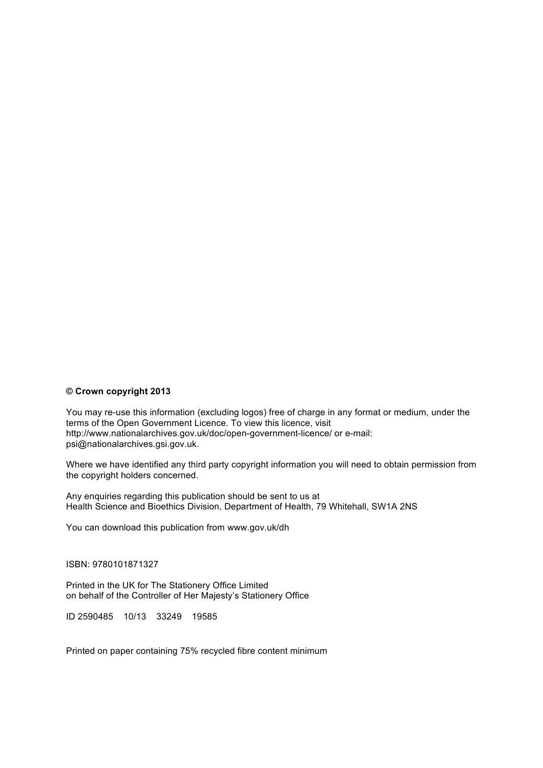#### **© Crown copyright 2013**

You may re-use this information (excluding logos) free of charge in any format or medium, under the terms of the Open Government Licence. To view this licence, visit http://www.nationalarchives.gov.uk/doc/open-government-licence/ or e-mail: psi@nationalarchives.gsi.gov.uk.

Where we have identified any third party copyright information you will need to obtain permission from the copyright holders concerned.

Any enquiries regarding this publication should be sent to us at Health Science and Bioethics Division, Department of Health, 79 Whitehall, SW1A 2NS

You can download this publication from www.gov.uk/dh

ISBN: 9780101871327

Printed in the UK for The Stationery Office Limited on behalf of the Controller of Her Majesty's Stationery Office

ID 2590485 10/13 33249 19585

Printed on paper containing 75% recycled fibre content minimum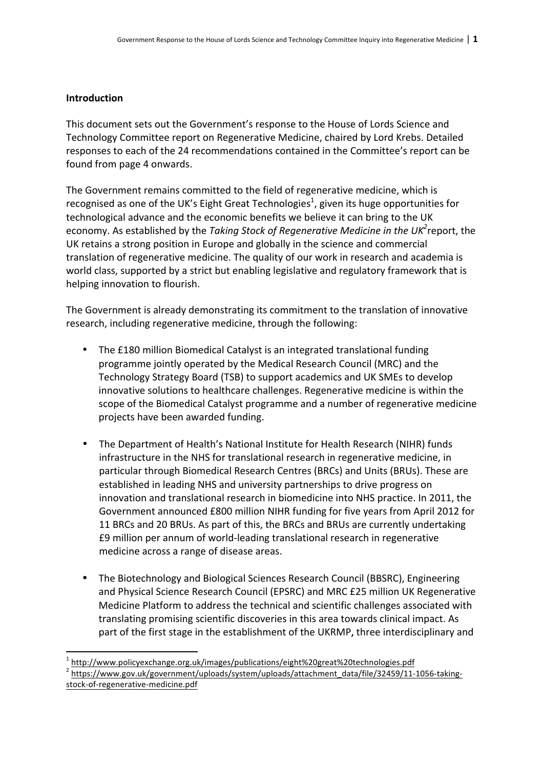### **Introduction**

This document sets out the Government's response to the House of Lords Science and Technology Committee report on Regenerative Medicine, chaired by Lord Krebs. Detailed responses to each of the 24 recommendations contained in the Committee's report can be found from page 4 onwards.

The Government remains committed to the field of regenerative medicine, which is recognised as one of the UK's Eight Great Technologies<sup>1</sup>, given its huge opportunities for technological advance and the economic benefits we believe it can bring to the UK economy. As established by the *Taking Stock of Regenerative Medicine in the UK*<sup>2</sup>report, the UK retains a strong position in Europe and globally in the science and commercial translation of regenerative medicine. The quality of our work in research and academia is world class, supported by a strict but enabling legislative and regulatory framework that is helping innovation to flourish.

The Government is already demonstrating its commitment to the translation of innovative research, including regenerative medicine, through the following:

- The £180 million Biomedical Catalyst is an integrated translational funding programme jointly operated by the Medical Research Council (MRC) and the Technology Strategy Board (TSB) to support academics and UK SMEs to develop innovative solutions to healthcare challenges. Regenerative medicine is within the scope of the Biomedical Catalyst programme and a number of regenerative medicine projects have been awarded funding.
- The Department of Health's National Institute for Health Research (NIHR) funds infrastructure in the NHS for translational research in regenerative medicine, in particular through Biomedical Research Centres (BRCs) and Units (BRUs). These are established in leading NHS and university partnerships to drive progress on innovation and translational research in biomedicine into NHS practice. In 2011, the Government announced £800 million NIHR funding for five years from April 2012 for 11 BRCs and 20 BRUs. As part of this, the BRCs and BRUs are currently undertaking £9 million per annum of world-leading translational research in regenerative medicine across a range of disease areas.
- The Biotechnology and Biological Sciences Research Council (BBSRC), Engineering and Physical Science Research Council (EPSRC) and MRC £25 million UK Regenerative Medicine Platform to address the technical and scientific challenges associated with translating promising scientific discoveries in this area towards clinical impact. As part of the first stage in the establishment of the UKRMP, three interdisciplinary and

<sup>1</sup> http://www.policyexchange.org.uk/images/publications/eight%20great%20technologies.pdf

<sup>&</sup>lt;sup>2</sup> [https://www.gov.uk/government/uploads/system/uploads/attachment\\_data/file/32459/11-1056-taking](https://www.gov.uk/government/uploads/system/uploads/attachment_data/file/32459/11-1056-taking-stock-of-regenerative-medicine.pdf)stock-of-regenerative-medicine.pdf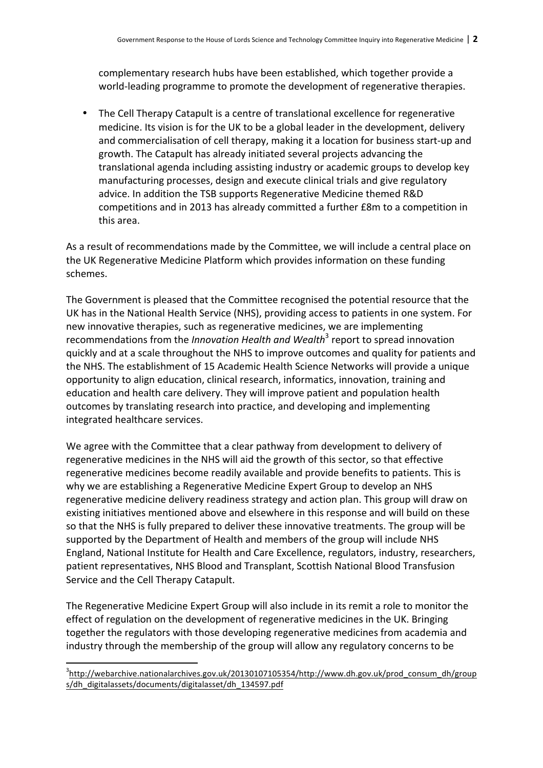complementary research hubs have been established, which together provide a world-leading programme to promote the development of regenerative therapies.

• The Cell Therapy Catapult is a centre of translational excellence for regenerative medicine. Its vision is for the UK to be a global leader in the development, delivery and commercialisation of cell therapy, making it a location for business start-up and growth. The Catapult has already initiated several projects advancing the translational agenda including assisting industry or academic groups to develop key manufacturing processes, design and execute clinical trials and give regulatory advice. In addition the TSB supports Regenerative Medicine themed R&D competitions and in 2013 has already committed a further £8m to a competition in this area.

As a result of recommendations made by the Committee, we will include a central place on the UK Regenerative Medicine Platform which provides information on these funding schemes. 

The Government is pleased that the Committee recognised the potential resource that the UK has in the National Health Service (NHS), providing access to patients in one system. For new innovative therapies, such as regenerative medicines, we are implementing recommendations from the *Innovation Health and Wealth*<sup>3</sup> report to spread innovation quickly and at a scale throughout the NHS to improve outcomes and quality for patients and the NHS. The establishment of 15 Academic Health Science Networks will provide a unique opportunity to align education, clinical research, informatics, innovation, training and education and health care delivery. They will improve patient and population health outcomes by translating research into practice, and developing and implementing integrated healthcare services.

We agree with the Committee that a clear pathway from development to delivery of regenerative medicines in the NHS will aid the growth of this sector, so that effective regenerative medicines become readily available and provide benefits to patients. This is why we are establishing a Regenerative Medicine Expert Group to develop an NHS regenerative medicine delivery readiness strategy and action plan. This group will draw on existing initiatives mentioned above and elsewhere in this response and will build on these so that the NHS is fully prepared to deliver these innovative treatments. The group will be supported by the Department of Health and members of the group will include NHS England, National Institute for Health and Care Excellence, regulators, industry, researchers, patient representatives, NHS Blood and Transplant, Scottish National Blood Transfusion Service and the Cell Therapy Catapult.

The Regenerative Medicine Expert Group will also include in its remit a role to monitor the effect of regulation on the development of regenerative medicines in the UK. Bringing together the regulators with those developing regenerative medicines from academia and industry through the membership of the group will allow any regulatory concerns to be

<sup>&</sup>lt;sup>3</sup>[http://webarchive.nationalarchives.gov.uk/20130107105354/http://www.dh.gov.uk/prod\\_consum\\_dh/group](http://webarchive.nationalarchives.gov.uk/20130107105354/http://www.dh.gov.uk/prod_consum_dh/groups/dh_digitalassets/documents/digitalasset/dh_134597.pdf) s/dh\_digitalassets/documents/digitalasset/dh\_134597.pdf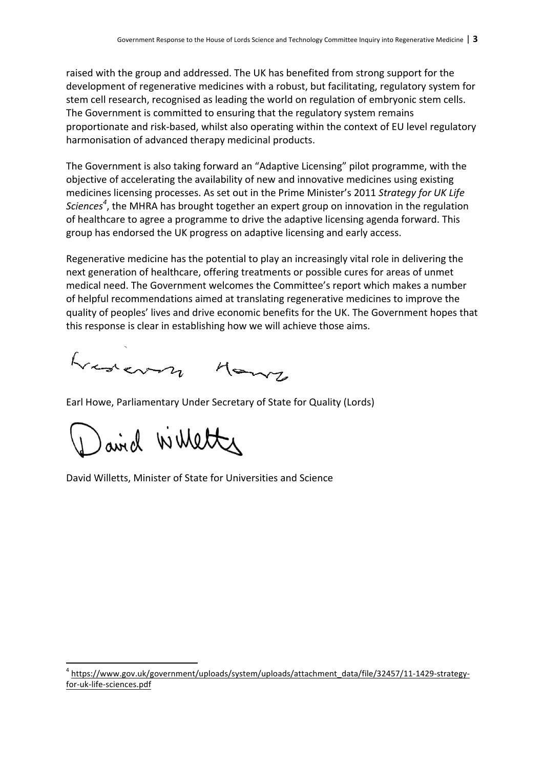raised with the group and addressed. The UK has benefited from strong support for the development of regenerative medicines with a robust, but facilitating, regulatory system for stem cell research, recognised as leading the world on regulation of embryonic stem cells. The Government is committed to ensuring that the regulatory system remains proportionate and risk-based, whilst also operating within the context of EU level regulatory harmonisation of advanced therapy medicinal products.

The Government is also taking forward an "Adaptive Licensing" pilot programme, with the objective of accelerating the availability of new and innovative medicines using existing medicines licensing processes. As set out in the Prime Minister's 2011 Strategy for UK Life Sciences<sup>4</sup>, the MHRA has brought together an expert group on innovation in the regulation of healthcare to agree a programme to drive the adaptive licensing agenda forward. This group has endorsed the UK progress on adaptive licensing and early access.

Regenerative medicine has the potential to play an increasingly vital role in delivering the next generation of healthcare, offering treatments or possible cures for areas of unmet medical need. The Government welcomes the Committee's report which makes a number of helpful recommendations aimed at translating regenerative medicines to improve the quality of peoples' lives and drive economic benefits for the UK. The Government hopes that this response is clear in establishing how we will achieve those aims.

Lavery Many

Earl Howe, Parliamentary Under Secretary of State for Quality (Lords)

airel Willetter

<u> 1989 - Jan Samuel Barbara, margaret e</u>

David Willetts, Minister of State for Universities and Science

<sup>4</sup> [https://www.gov.uk/government/uploads/system/uploads/attachment\\_data/file/32457/11-1429-strategy](https://www.gov.uk/government/uploads/system/uploads/attachment_data/file/32457/11-1429-strategy-for-uk-life-sciences.pdf)for-uk-life-sciences.pdf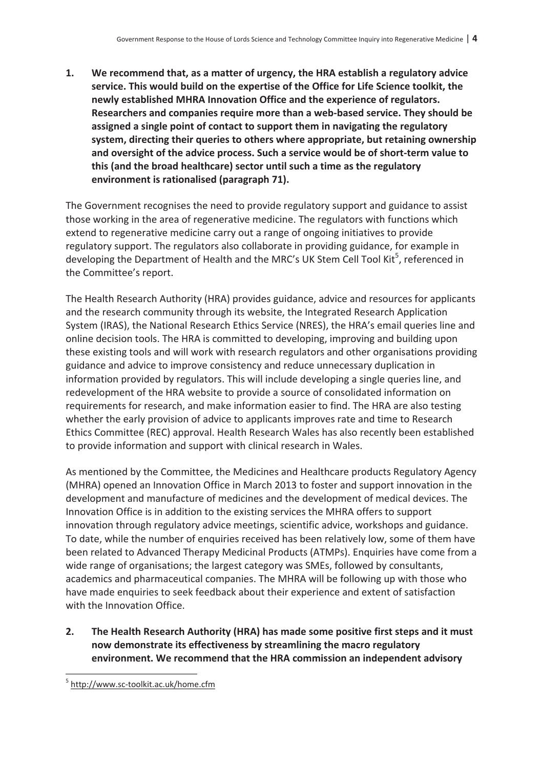**1. We recommend that, as a matter of urgency, the HRA establish a regulatory advice service. This would build on the expertise of the Office for Life Science toolkit, the newly established MHRA Innovation Office and the experience of regulators. Researchers and companies require more than a web-based service. They should be assigned a single point of contact to support them in navigating the regulatory system, directing their queries to others where appropriate, but retaining ownership and oversight of the advice process. Such a service would be of short-term value to this (and the broad healthcare) sector until such a time as the regulatory environment is rationalised (paragraph 71).** 

The Government recognises the need to provide regulatory support and guidance to assist those working in the area of regenerative medicine. The regulators with functions which extend to regenerative medicine carry out a range of ongoing initiatives to provide regulatory support. The regulators also collaborate in providing guidance, for example in developing the Department of Health and the MRC's UK Stem Cell Tool Kit<sup>5</sup>, referenced in the Committee's report.

The Health Research Authority (HRA) provides guidance, advice and resources for applicants and the research community through its website, the Integrated Research Application System (IRAS), the National Research Ethics Service (NRES), the HRA's email queries line and online decision tools. The HRA is committed to developing, improving and building upon these existing tools and will work with research regulators and other organisations providing guidance and advice to improve consistency and reduce unnecessary duplication in information provided by regulators. This will include developing a single queries line, and redevelopment of the HRA website to provide a source of consolidated information on requirements for research, and make information easier to find. The HRA are also testing whether the early provision of advice to applicants improves rate and time to Research Ethics Committee (REC) approval. Health Research Wales has also recently been established to provide information and support with clinical research in Wales.

As mentioned by the Committee, the Medicines and Healthcare products Regulatory Agency (MHRA) opened an Innovation Office in March 2013 to foster and support innovation in the development and manufacture of medicines and the development of medical devices. The Innovation Office is in addition to the existing services the MHRA offers to support innovation through regulatory advice meetings, scientific advice, workshops and guidance. To date, while the number of enquiries received has been relatively low, some of them have been related to Advanced Therapy Medicinal Products (ATMPs). Enquiries have come from a wide range of organisations; the largest category was SMEs, followed by consultants, academics and pharmaceutical companies. The MHRA will be following up with those who have made enquiries to seek feedback about their experience and extent of satisfaction with the Innovation Office.

**2. The Health Research Authority (HRA) has made some positive first steps and it must now demonstrate its effectiveness by streamlining the macro regulatory environment. We recommend that the HRA commission an independent advisory** 

 $\overline{\phantom{a}}$ 

<sup>&</sup>lt;sup>5</sup> http://www.sc-toolkit.ac.uk/home.cfm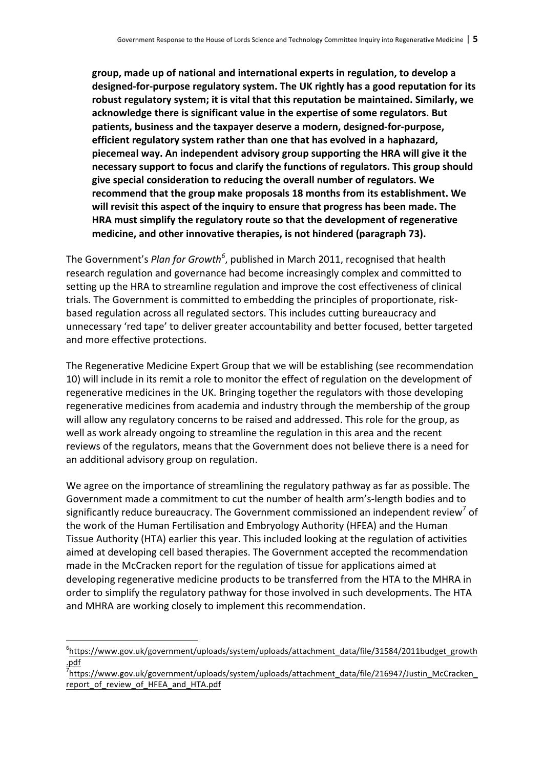group, made up of national and international experts in regulation, to develop a designed-for-purpose regulatory system. The UK rightly has a good reputation for its robust regulatory system; it is vital that this reputation be maintained. Similarly, we acknowledge there is significant value in the expertise of some regulators. But patients, business and the taxpayer deserve a modern, designed-for-purpose, **efficient regulatory system rather than one that has evolved in a haphazard,** piecemeal way. An independent advisory group supporting the HRA will give it the necessary support to focus and clarify the functions of regulators. This group should give special consideration to reducing the overall number of regulators. We recommend that the group make proposals 18 months from its establishment. We will revisit this aspect of the inquiry to ensure that progress has been made. The **HRA** must simplify the regulatory route so that the development of regenerative medicine, and other innovative therapies, is not hindered (paragraph 73).

The Government's *Plan for Growth<sup>6</sup>,* published in March 2011, recognised that health research regulation and governance had become increasingly complex and committed to setting up the HRA to streamline regulation and improve the cost effectiveness of clinical trials. The Government is committed to embedding the principles of proportionate, riskbased regulation across all regulated sectors. This includes cutting bureaucracy and unnecessary 'red tape' to deliver greater accountability and better focused, better targeted and more effective protections.

The Regenerative Medicine Expert Group that we will be establishing (see recommendation 10) will include in its remit a role to monitor the effect of regulation on the development of regenerative medicines in the UK. Bringing together the regulators with those developing regenerative medicines from academia and industry through the membership of the group will allow any regulatory concerns to be raised and addressed. This role for the group, as well as work already ongoing to streamline the regulation in this area and the recent reviews of the regulators, means that the Government does not believe there is a need for an additional advisory group on regulation.

We agree on the importance of streamlining the regulatory pathway as far as possible. The Government made a commitment to cut the number of health arm's-length bodies and to significantly reduce bureaucracy. The Government commissioned an independent review of the work of the Human Fertilisation and Embryology Authority (HFEA) and the Human Tissue Authority (HTA) earlier this year. This included looking at the regulation of activities aimed at developing cell based therapies. The Government accepted the recommendation made in the McCracken report for the regulation of tissue for applications aimed at developing regenerative medicine products to be transferred from the HTA to the MHRA in order to simplify the regulatory pathway for those involved in such developments. The HTA and MHRA are working closely to implement this recommendation.

<sup>&</sup>lt;sup>6</sup>https://www.gov.uk/government/uploads/system/uploads/attachment\_data/file/31584/2011budget\_growth .pdf

<sup>&</sup>lt;sup>7</sup>https://www.gov.uk/government/uploads/system/uploads/attachment\_data/file/216947/Justin\_McCracken\_ report of review of HFEA and HTA.pdf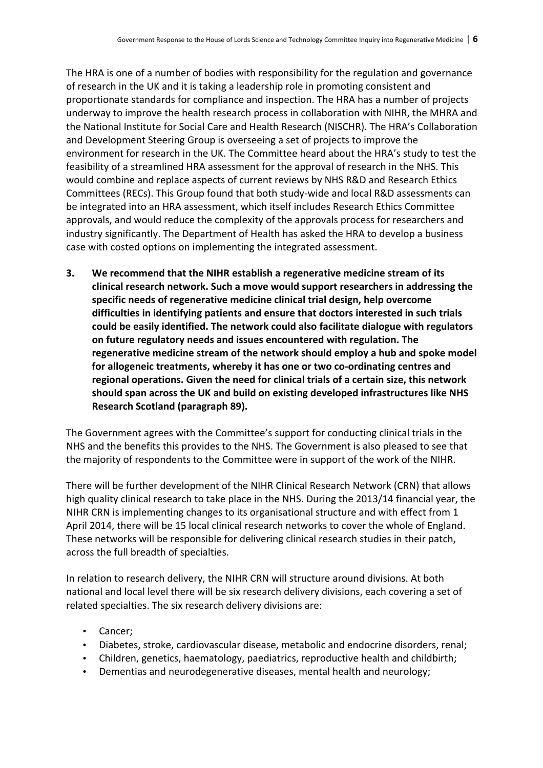The HRA is one of a number of bodies with responsibility for the regulation and governance of research in the UK and it is taking a leadership role in promoting consistent and proportionate standards for compliance and inspection. The HRA has a number of projects underway to improve the health research process in collaboration with NIHR, the MHRA and the National Institute for Social Care and Health Research (NISCHR). The HRA's Collaboration and Development Steering Group is overseeing a set of projects to improve the environment for research in the UK. The Committee heard about the HRA's study to test the feasibility of a streamlined HRA assessment for the approval of research in the NHS. This would combine and replace aspects of current reviews by NHS R&D and Research Ethics Committees (RECs). This Group found that both study-wide and local R&D assessments can be integrated into an HRA assessment, which itself includes Research Ethics Committee approvals, and would reduce the complexity of the approvals process for researchers and industry significantly. The Department of Health has asked the HRA to develop a business case with costed options on implementing the integrated assessment.

**3.** We recommend that the NIHR establish a regenerative medicine stream of its clinical research network. Such a move would support researchers in addressing the specific needs of regenerative medicine clinical trial design, help overcome difficulties in identifying patients and ensure that doctors interested in such trials could be easily identified. The network could also facilitate dialogue with regulators on future regulatory needs and issues encountered with regulation. The regenerative medicine stream of the network should employ a hub and spoke model for allogeneic treatments, whereby it has one or two co-ordinating centres and regional operations. Given the need for clinical trials of a certain size, this network should span across the UK and build on existing developed infrastructures like NHS **Research Scotland (paragraph 89).** 

The Government agrees with the Committee's support for conducting clinical trials in the NHS and the benefits this provides to the NHS. The Government is also pleased to see that the majority of respondents to the Committee were in support of the work of the NIHR.

There will be further development of the NIHR Clinical Research Network (CRN) that allows high quality clinical research to take place in the NHS. During the 2013/14 financial year, the NIHR CRN is implementing changes to its organisational structure and with effect from 1 April 2014, there will be 15 local clinical research networks to cover the whole of England. These networks will be responsible for delivering clinical research studies in their patch, across the full breadth of specialties.

In relation to research delivery, the NIHR CRN will structure around divisions. At both national and local level there will be six research delivery divisions, each covering a set of related specialties. The six research delivery divisions are:

- Cancer;
- Diabetes, stroke, cardiovascular disease, metabolic and endocrine disorders, renal;
- Children, genetics, haematology, paediatrics, reproductive health and childbirth;
- Dementias and neurodegenerative diseases, mental health and neurology;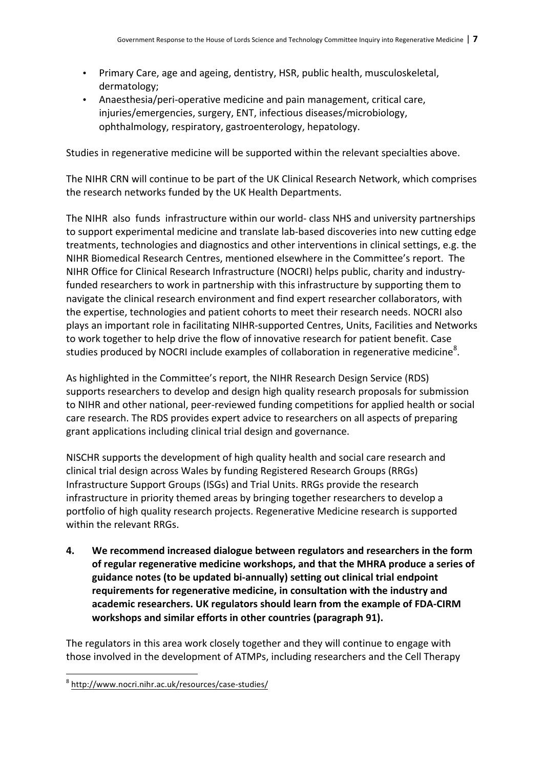- Primary Care, age and ageing, dentistry, HSR, public health, musculoskeletal, dermatology;
- Anaesthesia/peri-operative medicine and pain management, critical care, injuries/emergencies, surgery, ENT, infectious diseases/microbiology, ophthalmology, respiratory, gastroenterology, hepatology.

Studies in regenerative medicine will be supported within the relevant specialties above.

The NIHR CRN will continue to be part of the UK Clinical Research Network, which comprises the research networks funded by the UK Health Departments.

The NIHR also funds infrastructure within our world- class NHS and university partnerships to support experimental medicine and translate lab-based discoveries into new cutting edge treatments, technologies and diagnostics and other interventions in clinical settings, e.g. the NIHR Biomedical Research Centres, mentioned elsewhere in the Committee's report. The NIHR Office for Clinical Research Infrastructure (NOCRI) helps public, charity and industryfunded researchers to work in partnership with this infrastructure by supporting them to navigate the clinical research environment and find expert researcher collaborators, with the expertise, technologies and patient cohorts to meet their research needs. NOCRI also plays an important role in facilitating NIHR-supported Centres, Units, Facilities and Networks to work together to help drive the flow of innovative research for patient benefit. Case studies produced by NOCRI include examples of collaboration in regenerative medicine<sup>8</sup>.

As highlighted in the Committee's report, the NIHR Research Design Service (RDS) supports researchers to develop and design high quality research proposals for submission to NIHR and other national, peer-reviewed funding competitions for applied health or social care research. The RDS provides expert advice to researchers on all aspects of preparing grant applications including clinical trial design and governance.

NISCHR supports the development of high quality health and social care research and clinical trial design across Wales by funding Registered Research Groups (RRGs) Infrastructure Support Groups (ISGs) and Trial Units. RRGs provide the research infrastructure in priority themed areas by bringing together researchers to develop a portfolio of high quality research projects. Regenerative Medicine research is supported within the relevant RRGs.

**4.** We recommend increased dialogue between regulators and researchers in the form of regular regenerative medicine workshops, and that the MHRA produce a series of guidance notes (to be updated bi-annually) setting out clinical trial endpoint requirements for regenerative medicine, in consultation with the industry and academic researchers. UK regulators should learn from the example of FDA-CIRM workshops and similar efforts in other countries (paragraph 91).

The regulators in this area work closely together and they will continue to engage with those involved in the development of ATMPs, including researchers and the Cell Therapy

 

<sup>8</sup> <http://www.nocri.nihr.ac.uk/resources/case-studies/>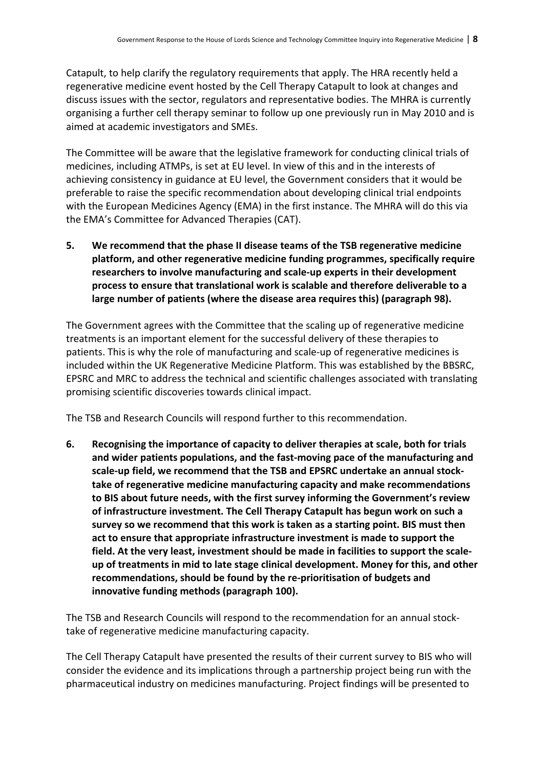Catapult, to help clarify the regulatory requirements that apply. The HRA recently held a regenerative medicine event hosted by the Cell Therapy Catapult to look at changes and discuss issues with the sector, regulators and representative bodies. The MHRA is currently organising a further cell therapy seminar to follow up one previously run in May 2010 and is aimed at academic investigators and SMEs.

The Committee will be aware that the legislative framework for conducting clinical trials of medicines, including ATMPs, is set at EU level. In view of this and in the interests of achieving consistency in guidance at EU level, the Government considers that it would be preferable to raise the specific recommendation about developing clinical trial endpoints with the European Medicines Agency (EMA) in the first instance. The MHRA will do this via the EMA's Committee for Advanced Therapies (CAT).

**5.** We recommend that the phase II disease teams of the TSB regenerative medicine platform, and other regenerative medicine funding programmes, specifically require researchers to involve manufacturing and scale-up experts in their development process to ensure that translational work is scalable and therefore deliverable to a large number of patients (where the disease area requires this) (paragraph 98).

The Government agrees with the Committee that the scaling up of regenerative medicine treatments is an important element for the successful delivery of these therapies to patients. This is why the role of manufacturing and scale-up of regenerative medicines is included within the UK Regenerative Medicine Platform. This was established by the BBSRC. EPSRC and MRC to address the technical and scientific challenges associated with translating promising scientific discoveries towards clinical impact.

The TSB and Research Councils will respond further to this recommendation.

**6.** Recognising the importance of capacity to deliver therapies at scale, both for trials and wider patients populations, and the fast-moving pace of the manufacturing and scale-up field, we recommend that the TSB and EPSRC undertake an annual stock**take of regenerative medicine manufacturing capacity and make recommendations** to BIS about future needs, with the first survey informing the Government's review of infrastructure investment. The Cell Therapy Catapult has begun work on such a survey so we recommend that this work is taken as a starting point. BIS must then act to ensure that appropriate infrastructure investment is made to support the field. At the very least, investment should be made in facilities to support the scaleup of treatments in mid to late stage clinical development. Money for this, and other recommendations, should be found by the re-prioritisation of budgets and innovative funding methods (paragraph 100).

The TSB and Research Councils will respond to the recommendation for an annual stocktake of regenerative medicine manufacturing capacity.

The Cell Therapy Catapult have presented the results of their current survey to BIS who will consider the evidence and its implications through a partnership project being run with the pharmaceutical industry on medicines manufacturing. Project findings will be presented to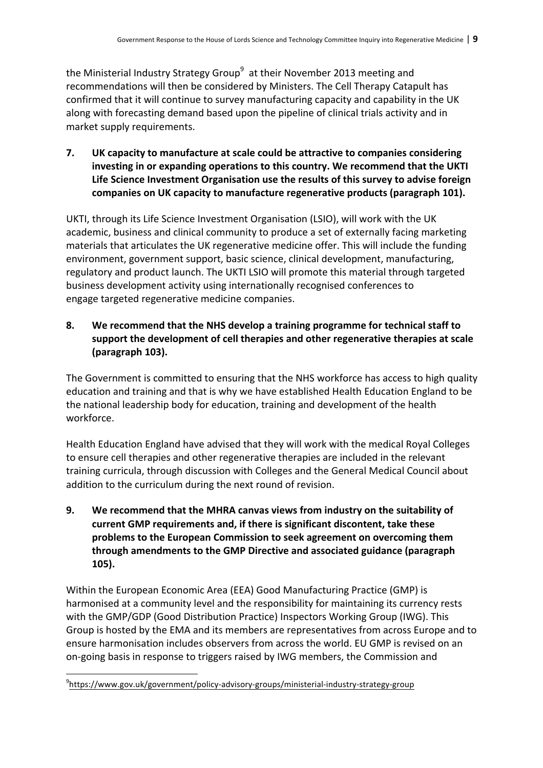the Ministerial Industry Strategy Group<sup>9</sup> at their November 2013 meeting and recommendations will then be considered by Ministers. The Cell Therapy Catapult has confirmed that it will continue to survey manufacturing capacity and capability in the UK along with forecasting demand based upon the pipeline of clinical trials activity and in market supply requirements.

**7.** UK capacity to manufacture at scale could be attractive to companies considering investing in or expanding operations to this country. We recommend that the UKTI Life Science Investment Organisation use the results of this survey to advise foreign companies on UK capacity to manufacture regenerative products (paragraph 101).

UKTI, through its Life Science Investment Organisation (LSIO), will work with the UK academic, business and clinical community to produce a set of externally facing marketing materials that articulates the UK regenerative medicine offer. This will include the funding environment, government support, basic science, clinical development, manufacturing, regulatory and product launch. The UKTI LSIO will promote this material through targeted business development activity using internationally recognised conferences to engage targeted regenerative medicine companies.

**8.** We recommend that the NHS develop a training programme for technical staff to support the development of cell therapies and other regenerative therapies at scale **(paragraph 103).**

The Government is committed to ensuring that the NHS workforce has access to high quality education and training and that is why we have established Health Education England to be the national leadership body for education, training and development of the health workforce. 

Health Education England have advised that they will work with the medical Royal Colleges to ensure cell therapies and other regenerative therapies are included in the relevant training curricula, through discussion with Colleges and the General Medical Council about addition to the curriculum during the next round of revision.

**9.** We recommend that the MHRA canvas views from industry on the suitability of current GMP requirements and, if there is significant discontent, take these problems to the European Commission to seek agreement on overcoming them **through amendments to the GMP Directive and associated guidance (paragraph 105).**

Within the European Economic Area (EEA) Good Manufacturing Practice (GMP) is harmonised at a community level and the responsibility for maintaining its currency rests with the GMP/GDP (Good Distribution Practice) Inspectors Working Group (IWG). This Group is hosted by the EMA and its members are representatives from across Europe and to ensure harmonisation includes observers from across the world. EU GMP is revised on an on-going basis in response to triggers raised by IWG members, the Commission and

 

<sup>9</sup> <https://www.gov.uk/government/policy-advisory-groups/ministerial-industry-strategy-group>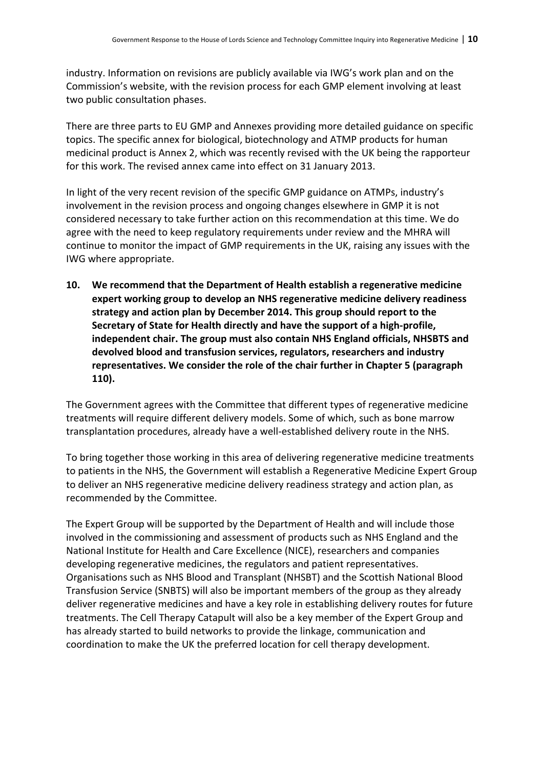industry. Information on revisions are publicly available via IWG's work plan and on the Commission's website, with the revision process for each GMP element involving at least two public consultation phases.

There are three parts to EU GMP and Annexes providing more detailed guidance on specific topics. The specific annex for biological, biotechnology and ATMP products for human medicinal product is Annex 2, which was recently revised with the UK being the rapporteur for this work. The revised annex came into effect on 31 January 2013.

In light of the very recent revision of the specific GMP guidance on ATMPs, industry's involvement in the revision process and ongoing changes elsewhere in GMP it is not considered necessary to take further action on this recommendation at this time. We do agree with the need to keep regulatory requirements under review and the MHRA will continue to monitor the impact of GMP requirements in the UK, raising any issues with the IWG where appropriate.

**10.** We recommend that the Department of Health establish a regenerative medicine expert working group to develop an NHS regenerative medicine delivery readiness strategy and action plan by December 2014. This group should report to the Secretary of State for Health directly and have the support of a high-profile, independent chair. The group must also contain NHS England officials, NHSBTS and devolved blood and transfusion services, regulators, researchers and industry representatives. We consider the role of the chair further in Chapter 5 (paragraph **110).**

The Government agrees with the Committee that different types of regenerative medicine treatments will require different delivery models. Some of which, such as bone marrow transplantation procedures, already have a well-established delivery route in the NHS.

To bring together those working in this area of delivering regenerative medicine treatments to patients in the NHS, the Government will establish a Regenerative Medicine Expert Group to deliver an NHS regenerative medicine delivery readiness strategy and action plan, as recommended by the Committee.

The Expert Group will be supported by the Department of Health and will include those involved in the commissioning and assessment of products such as NHS England and the National Institute for Health and Care Excellence (NICE), researchers and companies developing regenerative medicines, the regulators and patient representatives. Organisations such as NHS Blood and Transplant (NHSBT) and the Scottish National Blood Transfusion Service (SNBTS) will also be important members of the group as they already deliver regenerative medicines and have a key role in establishing delivery routes for future treatments. The Cell Therapy Catapult will also be a key member of the Expert Group and has already started to build networks to provide the linkage, communication and coordination to make the UK the preferred location for cell therapy development.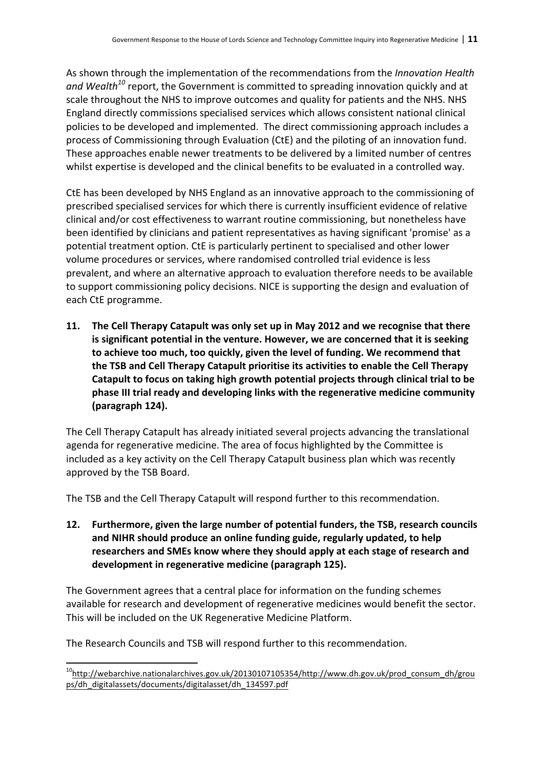As shown through the implementation of the recommendations from the *Innovation Health* and Wealth<sup>10</sup> report, the Government is committed to spreading innovation quickly and at scale throughout the NHS to improve outcomes and quality for patients and the NHS. NHS England directly commissions specialised services which allows consistent national clinical policies to be developed and implemented. The direct commissioning approach includes a process of Commissioning through Evaluation (CtE) and the piloting of an innovation fund. These approaches enable newer treatments to be delivered by a limited number of centres whilst expertise is developed and the clinical benefits to be evaluated in a controlled way.

CtE has been developed by NHS England as an innovative approach to the commissioning of prescribed specialised services for which there is currently insufficient evidence of relative clinical and/or cost effectiveness to warrant routine commissioning, but nonetheless have been identified by clinicians and patient representatives as having significant 'promise' as a potential treatment option. CtE is particularly pertinent to specialised and other lower volume procedures or services, where randomised controlled trial evidence is less prevalent, and where an alternative approach to evaluation therefore needs to be available to support commissioning policy decisions. NICE is supporting the design and evaluation of each CtE programme.

**11.** The Cell Therapy Catapult was only set up in May 2012 and we recognise that there is significant potential in the venture. However, we are concerned that it is seeking to achieve too much, too quickly, given the level of funding. We recommend that **the TSB and Cell Therapy Catapult prioritise its activities to enable the Cell Therapy** Catapult to focus on taking high growth potential projects through clinical trial to be phase III trial ready and developing links with the regenerative medicine community **(paragraph 124).**

The Cell Therapy Catapult has already initiated several projects advancing the translational agenda for regenerative medicine. The area of focus highlighted by the Committee is included as a key activity on the Cell Therapy Catapult business plan which was recently approved by the TSB Board.

The TSB and the Cell Therapy Catapult will respond further to this recommendation.

**12.** Furthermore, given the large number of potential funders, the TSB, research councils and NIHR should produce an online funding guide, regularly updated, to help researchers and SMEs know where they should apply at each stage of research and development in regenerative medicine (paragraph 125).

The Government agrees that a central place for information on the funding schemes available for research and development of regenerative medicines would benefit the sector. This will be included on the UK Regenerative Medicine Platform.

The Research Councils and TSB will respond further to this recommendation.

 $10$ http://webarchive.nationalarchives.gov.uk/20130107105354/http://www.dh.gov.uk/prod\_consum\_dh/grou ps/dh\_digitalassets/documents/digitalasset/dh\_134597.pdf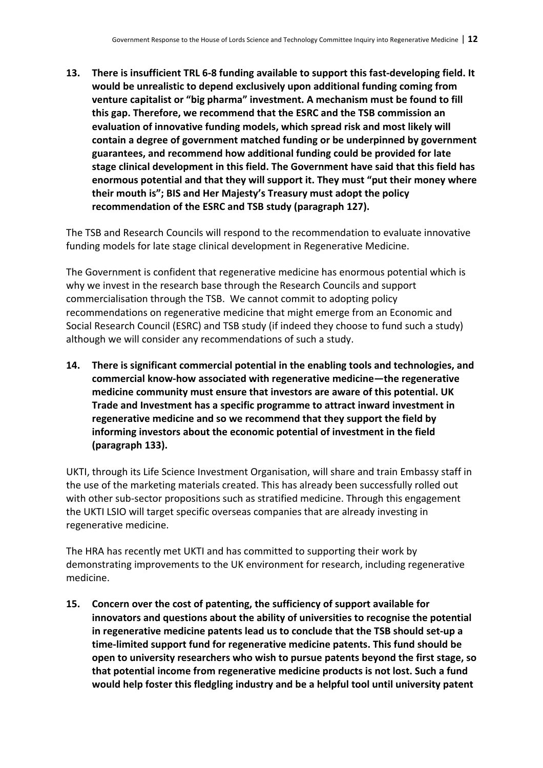**13.** There is insufficient TRL 6-8 funding available to support this fast-developing field. It would be unrealistic to depend exclusively upon additional funding coming from venture capitalist or "big pharma" investment. A mechanism must be found to fill this gap. Therefore, we recommend that the ESRC and the TSB commission an evaluation of innovative funding models, which spread risk and most likely will contain a degree of government matched funding or be underpinned by government guarantees, and recommend how additional funding could be provided for late stage clinical development in this field. The Government have said that this field has enormous potential and that they will support it. They must "put their money where their mouth is"; BIS and Her Majesty's Treasury must adopt the policy recommendation of the ESRC and TSB study (paragraph 127).

The TSB and Research Councils will respond to the recommendation to evaluate innovative funding models for late stage clinical development in Regenerative Medicine.

The Government is confident that regenerative medicine has enormous potential which is why we invest in the research base through the Research Councils and support commercialisation through the TSB. We cannot commit to adopting policy recommendations on regenerative medicine that might emerge from an Economic and Social Research Council (ESRC) and TSB study (if indeed they choose to fund such a study) although we will consider any recommendations of such a study.

**14.** There is significant commercial potential in the enabling tools and technologies, and commercial know-how associated with regenerative medicine—the regenerative medicine community must ensure that investors are aware of this potential. UK **Trade and Investment has a specific programme to attract inward investment in** regenerative medicine and so we recommend that they support the field by informing investors about the economic potential of investment in the field **(paragraph 133).**

UKTI, through its Life Science Investment Organisation, will share and train Embassy staff in the use of the marketing materials created. This has already been successfully rolled out with other sub-sector propositions such as stratified medicine. Through this engagement the UKTI LSIO will target specific overseas companies that are already investing in regenerative medicine.

The HRA has recently met UKTI and has committed to supporting their work by demonstrating improvements to the UK environment for research, including regenerative medicine. 

**15.** Concern over the cost of patenting, the sufficiency of support available for innovators and questions about the ability of universities to recognise the potential **in regenerative medicine patents lead us to conclude that the TSB should set-up a** time-limited support fund for regenerative medicine patents. This fund should be **open to university researchers who wish to pursue patents beyond the first stage, so** that potential income from regenerative medicine products is not lost. Such a fund would help foster this fledgling industry and be a helpful tool until university patent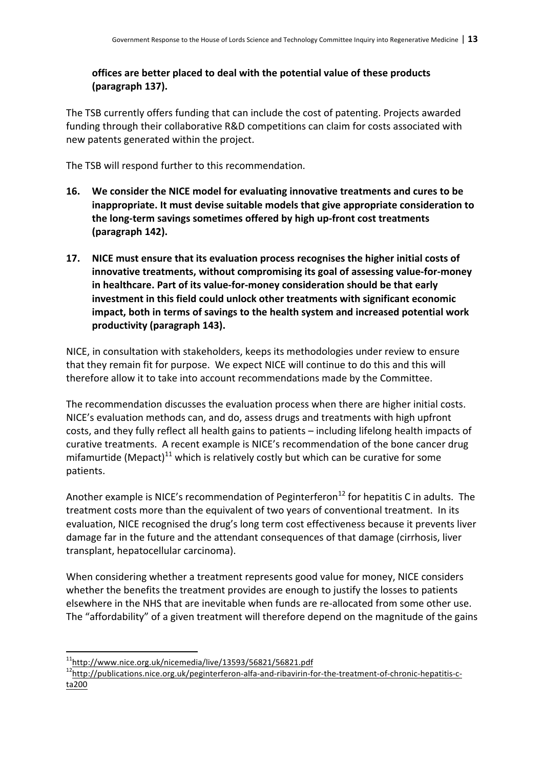## **offices are better placed to deal with the potential value of these products (paragraph 137).**

The TSB currently offers funding that can include the cost of patenting. Projects awarded funding through their collaborative R&D competitions can claim for costs associated with new patents generated within the project.

The TSB will respond further to this recommendation.

- **16.** We consider the NICE model for evaluating innovative treatments and cures to be **inappropriate.** It must devise suitable models that give appropriate consideration to the long-term savings sometimes offered by high up-front cost treatments **(paragraph 142).**
- **17.** NICE must ensure that its evaluation process recognises the higher initial costs of innovative treatments, without compromising its goal of assessing value-for-money in healthcare. Part of its value-for-money consideration should be that early investment in this field could unlock other treatments with significant economic impact, both in terms of savings to the health system and increased potential work productivity (paragraph 143).

NICE, in consultation with stakeholders, keeps its methodologies under review to ensure that they remain fit for purpose. We expect NICE will continue to do this and this will therefore allow it to take into account recommendations made by the Committee.

The recommendation discusses the evaluation process when there are higher initial costs. NICE's evaluation methods can, and do, assess drugs and treatments with high upfront costs, and they fully reflect all health gains to patients – including lifelong health impacts of curative treatments. A recent example is NICE's recommendation of the bone cancer drug mifamurtide (Mepact)<sup>11</sup> which is relatively costly but which can be curative for some patients. 

Another example is NICE's recommendation of Peginterferon<sup>12</sup> for hepatitis C in adults. The treatment costs more than the equivalent of two years of conventional treatment. In its evaluation, NICE recognised the drug's long term cost effectiveness because it prevents liver damage far in the future and the attendant consequences of that damage (cirrhosis, liver transplant, hepatocellular carcinoma).

When considering whether a treatment represents good value for money, NICE considers whether the benefits the treatment provides are enough to justify the losses to patients elsewhere in the NHS that are inevitable when funds are re-allocated from some other use. The "affordability" of a given treatment will therefore depend on the magnitude of the gains

 $11$ http://www.nice.org.uk/nicemedia/live/13593/56821/56821.pdf

[<sup>12</sup>http://publications.nice.org.uk/peginterferon-alfa-and-ribavirin-for-the-treatment-of-chronic-hepatitis-c](http://publications.nice.org.uk/peginterferon-alfa-and-ribavirin-for-the-treatment-of-chronic-hepatitis-c-ta200)ta200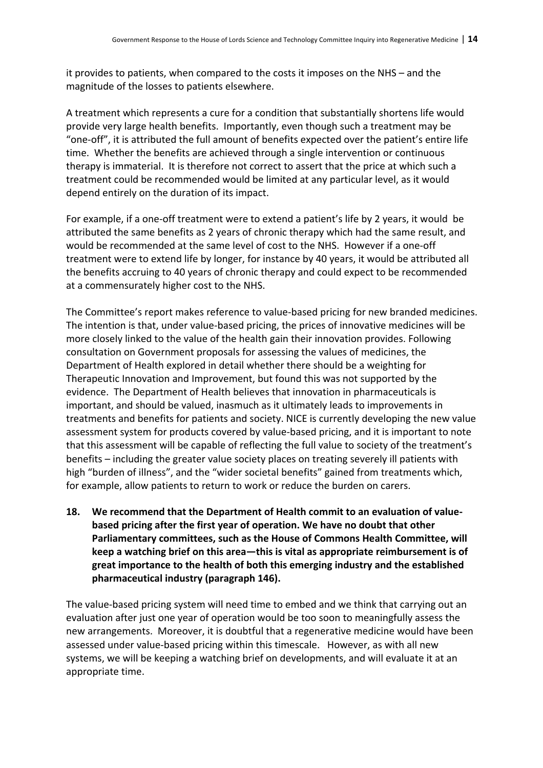it provides to patients, when compared to the costs it imposes on the NHS – and the magnitude of the losses to patients elsewhere.

A treatment which represents a cure for a condition that substantially shortens life would provide very large health benefits. Importantly, even though such a treatment may be "one-off", it is attributed the full amount of benefits expected over the patient's entire life time. Whether the benefits are achieved through a single intervention or continuous therapy is immaterial. It is therefore not correct to assert that the price at which such a treatment could be recommended would be limited at any particular level, as it would depend entirely on the duration of its impact.

For example, if a one-off treatment were to extend a patient's life by 2 years, it would be attributed the same benefits as 2 years of chronic therapy which had the same result, and would be recommended at the same level of cost to the NHS. However if a one-off treatment were to extend life by longer, for instance by 40 years, it would be attributed all the benefits accruing to 40 years of chronic therapy and could expect to be recommended at a commensurately higher cost to the NHS.

The Committee's report makes reference to value-based pricing for new branded medicines. The intention is that, under value-based pricing, the prices of innovative medicines will be more closely linked to the value of the health gain their innovation provides. Following consultation on Government proposals for assessing the values of medicines, the Department of Health explored in detail whether there should be a weighting for Therapeutic Innovation and Improvement, but found this was not supported by the evidence. The Department of Health believes that innovation in pharmaceuticals is important, and should be valued, inasmuch as it ultimately leads to improvements in treatments and benefits for patients and society. NICE is currently developing the new value assessment system for products covered by value-based pricing, and it is important to note that this assessment will be capable of reflecting the full value to society of the treatment's benefits – including the greater value society places on treating severely ill patients with high "burden of illness", and the "wider societal benefits" gained from treatments which, for example, allow patients to return to work or reduce the burden on carers.

**18.** We recommend that the Department of Health commit to an evaluation of value**based pricing after the first year of operation. We have no doubt that other** Parliamentary committees, such as the House of Commons Health Committee, will **keep a watching brief on this area—this is vital as appropriate reimbursement is of** great importance to the health of both this emerging industry and the established pharmaceutical industry (paragraph 146).

The value-based pricing system will need time to embed and we think that carrying out an evaluation after just one year of operation would be too soon to meaningfully assess the new arrangements. Moreover, it is doubtful that a regenerative medicine would have been assessed under value-based pricing within this timescale. However, as with all new systems, we will be keeping a watching brief on developments, and will evaluate it at an appropriate time.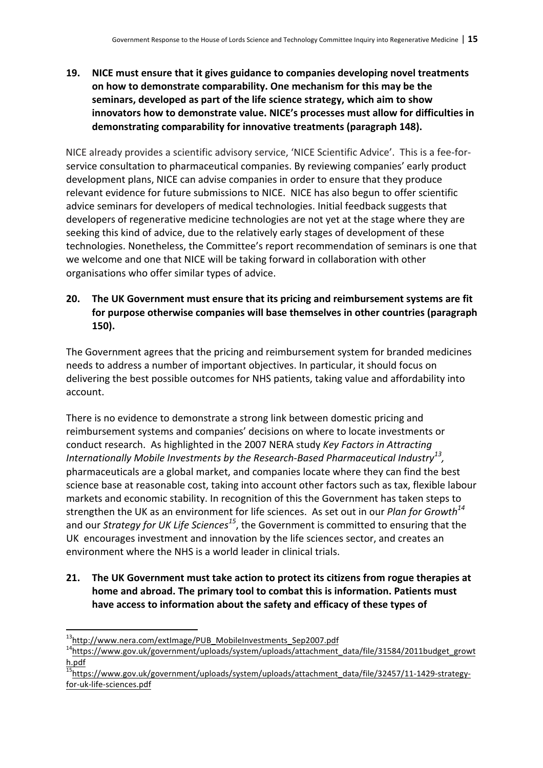**19.** NICE must ensure that it gives guidance to companies developing novel treatments on how to demonstrate comparability. One mechanism for this may be the seminars, developed as part of the life science strategy, which aim to show innovators how to demonstrate value. NICE's processes must allow for difficulties in demonstrating comparability for innovative treatments (paragraph 148).

NICE already provides a scientific advisory service, 'NICE Scientific Advice'. This is a fee-forservice consultation to pharmaceutical companies. By reviewing companies' early product development plans, NICE can advise companies in order to ensure that they produce relevant evidence for future submissions to NICE. NICE has also begun to offer scientific advice seminars for developers of medical technologies. Initial feedback suggests that developers of regenerative medicine technologies are not yet at the stage where they are seeking this kind of advice, due to the relatively early stages of development of these technologies. Nonetheless, the Committee's report recommendation of seminars is one that we welcome and one that NICE will be taking forward in collaboration with other organisations who offer similar types of advice.

**20.** The UK Government must ensure that its pricing and reimbursement systems are fit for purpose otherwise companies will base themselves in other countries (paragraph **150).**

The Government agrees that the pricing and reimbursement system for branded medicines needs to address a number of important objectives. In particular, it should focus on delivering the best possible outcomes for NHS patients, taking value and affordability into account. 

There is no evidence to demonstrate a strong link between domestic pricing and reimbursement systems and companies' decisions on where to locate investments or conduct research. As highlighted in the 2007 NERA study *Key Factors in Attracting Internationally Mobile Investments by the Research-Based Pharmaceutical Industry<sup>13</sup>,* pharmaceuticals are a global market, and companies locate where they can find the best science base at reasonable cost, taking into account other factors such as tax, flexible labour markets and economic stability. In recognition of this the Government has taken steps to strengthen the UK as an environment for life sciences. As set out in our *Plan for Growth*<sup>14</sup> and our *Strategy for UK Life Sciences<sup>15</sup>*, the Government is committed to ensuring that the UK encourages investment and innovation by the life sciences sector, and creates an environment where the NHS is a world leader in clinical trials.

**21.** The UK Government must take action to protect its citizens from rogue therapies at home and abroad. The primary tool to combat this is information. Patients must have access to information about the safety and efficacy of these types of

 

<sup>&</sup>lt;sup>13</sup>http://www.nera.com/extImage/PUB\_MobileInvestments\_Sep2007.pdf<br><sup>14</sup>https://www.gov.uk/government/uploads/system/uploads/attachment\_data/file/31584/2011budget\_growt h.pdf

<sup>&</sup>lt;sup>5</sup>https://www.gov.uk/government/uploads/system/uploads/attachment\_data/file/32457/11-1429-strategyfor-uk-life-sciences.pdf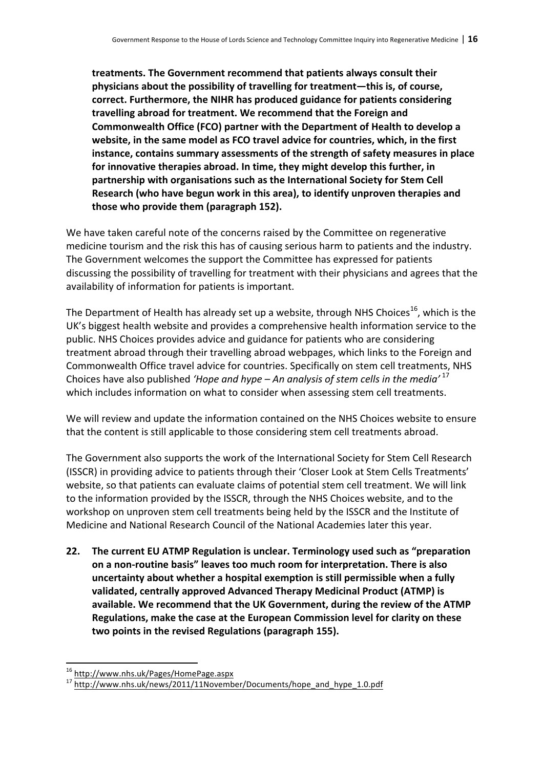treatments. The Government recommend that patients always consult their physicians about the possibility of travelling for treatment—this is, of course, correct. Furthermore, the NIHR has produced guidance for patients considering travelling abroad for treatment. We recommend that the Foreign and **Commonwealth Office (FCO) partner with the Department of Health to develop a** website, in the same model as FCO travel advice for countries, which, in the first **instance, contains summary assessments of the strength of safety measures in place** for innovative therapies abroad. In time, they might develop this further, in partnership with organisations such as the International Society for Stem Cell Research (who have begun work in this area), to identify unproven therapies and those who provide them (paragraph 152).

We have taken careful note of the concerns raised by the Committee on regenerative medicine tourism and the risk this has of causing serious harm to patients and the industry. The Government welcomes the support the Committee has expressed for patients discussing the possibility of travelling for treatment with their physicians and agrees that the availability of information for patients is important.

The Department of Health has already set up a website, through NHS Choices<sup>16</sup>, which is the UK's biggest health website and provides a comprehensive health information service to the public. NHS Choices provides advice and guidance for patients who are considering treatment abroad through their travelling abroad webpages, which links to the Foreign and Commonwealth Office travel advice for countries. Specifically on stem cell treatments, NHS Choices have also published 'Hope and hype – An analysis of stem cells in the media'  $17$ which includes information on what to consider when assessing stem cell treatments.

We will review and update the information contained on the NHS Choices website to ensure that the content is still applicable to those considering stem cell treatments abroad.

The Government also supports the work of the International Society for Stem Cell Research (ISSCR) in providing advice to patients through their 'Closer Look at Stem Cells Treatments' website, so that patients can evaluate claims of potential stem cell treatment. We will link to the information provided by the ISSCR, through the NHS Choices website, and to the workshop on unproven stem cell treatments being held by the ISSCR and the Institute of Medicine and National Research Council of the National Academies later this year.

**22.** The current EU ATMP Regulation is unclear. Terminology used such as "preparation on a non-routine basis" leaves too much room for interpretation. There is also uncertainty about whether a hospital exemption is still permissible when a fully validated, centrally approved Advanced Therapy Medicinal Product (ATMP) is available. We recommend that the UK Government, during the review of the ATMP **Regulations, make the case at the European Commission level for clarity on these** two points in the revised Regulations (paragraph 155).

<sup>&</sup>lt;sup>16</sup> http://www.nhs.uk/Pages/HomePage.aspx

<sup>&</sup>lt;sup>17</sup> http://www.nhs.uk/news/2011/11November/Documents/hope\_and\_hype\_1.0.pdf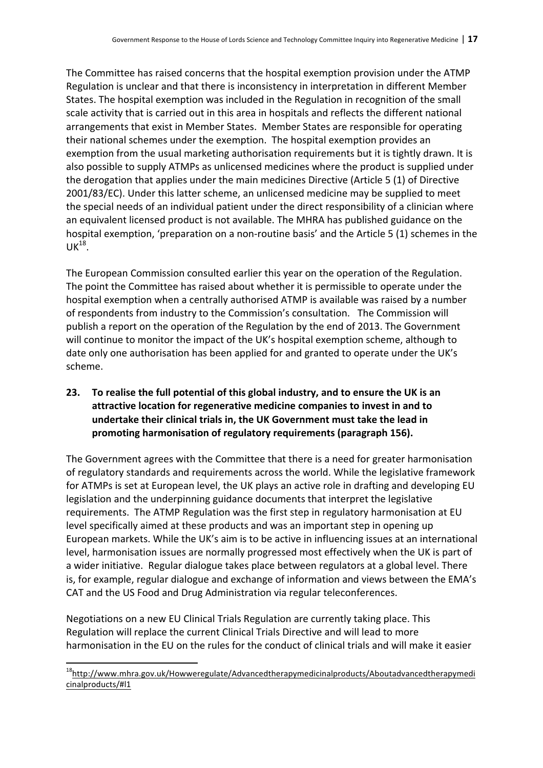The Committee has raised concerns that the hospital exemption provision under the ATMP Regulation is unclear and that there is inconsistency in interpretation in different Member States. The hospital exemption was included in the Regulation in recognition of the small scale activity that is carried out in this area in hospitals and reflects the different national arrangements that exist in Member States. Member States are responsible for operating their national schemes under the exemption. The hospital exemption provides an exemption from the usual marketing authorisation requirements but it is tightly drawn. It is also possible to supply ATMPs as unlicensed medicines where the product is supplied under the derogation that applies under the main medicines Directive (Article  $5(1)$  of Directive 2001/83/EC). Under this latter scheme, an unlicensed medicine may be supplied to meet the special needs of an individual patient under the direct responsibility of a clinician where an equivalent licensed product is not available. The MHRA has published guidance on the hospital exemption, 'preparation on a non-routine basis' and the Article 5 (1) schemes in the  $UK<sup>18</sup>$ .

The European Commission consulted earlier this year on the operation of the Regulation. The point the Committee has raised about whether it is permissible to operate under the hospital exemption when a centrally authorised ATMP is available was raised by a number of respondents from industry to the Commission's consultation. The Commission will publish a report on the operation of the Regulation by the end of 2013. The Government will continue to monitor the impact of the UK's hospital exemption scheme, although to date only one authorisation has been applied for and granted to operate under the UK's scheme. 

## **23.** To realise the full potential of this global industry, and to ensure the UK is an attractive location for regenerative medicine companies to invest in and to undertake their clinical trials in, the UK Government must take the lead in promoting harmonisation of regulatory requirements (paragraph 156).

The Government agrees with the Committee that there is a need for greater harmonisation of regulatory standards and requirements across the world. While the legislative framework for ATMPs is set at European level, the UK plays an active role in drafting and developing EU legislation and the underpinning guidance documents that interpret the legislative requirements. The ATMP Regulation was the first step in regulatory harmonisation at EU level specifically aimed at these products and was an important step in opening up European markets. While the UK's aim is to be active in influencing issues at an international level, harmonisation issues are normally progressed most effectively when the UK is part of a wider initiative. Regular dialogue takes place between regulators at a global level. There is, for example, regular dialogue and exchange of information and views between the EMA's CAT and the US Food and Drug Administration via regular teleconferences.

Negotiations on a new EU Clinical Trials Regulation are currently taking place. This Regulation will replace the current Clinical Trials Directive and will lead to more harmonisation in the EU on the rules for the conduct of clinical trials and will make it easier

<sup>18</sup>http://www.mhra.gov.uk/Howweregulate/Advancedtherapymedicinalproducts/Aboutadvancedtherapymedi cinalproducts/#l1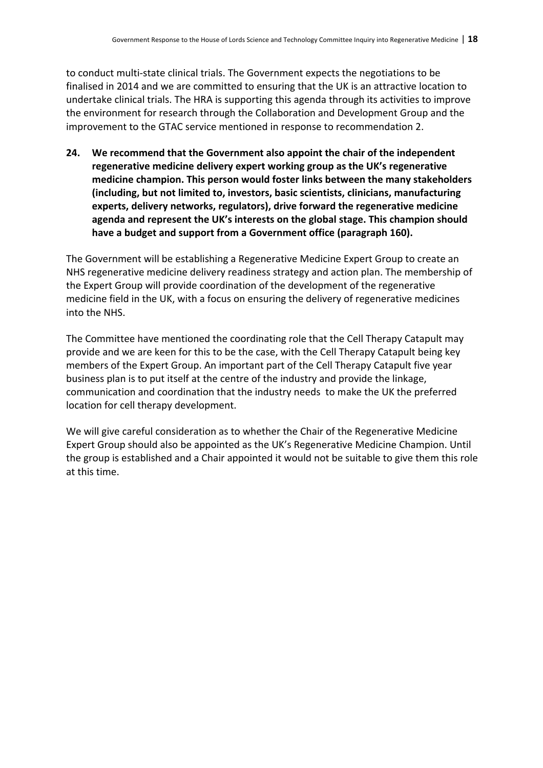to conduct multi-state clinical trials. The Government expects the negotiations to be finalised in 2014 and we are committed to ensuring that the UK is an attractive location to undertake clinical trials. The HRA is supporting this agenda through its activities to improve the environment for research through the Collaboration and Development Group and the improvement to the GTAC service mentioned in response to recommendation 2.

**24.** We recommend that the Government also appoint the chair of the independent regenerative medicine delivery expert working group as the UK's regenerative medicine champion. This person would foster links between the many stakeholders (including, but not limited to, investors, basic scientists, clinicians, manufacturing experts, delivery networks, regulators), drive forward the regenerative medicine agenda and represent the UK's interests on the global stage. This champion should have a budget and support from a Government office (paragraph 160).

The Government will be establishing a Regenerative Medicine Expert Group to create an NHS regenerative medicine delivery readiness strategy and action plan. The membership of the Expert Group will provide coordination of the development of the regenerative medicine field in the UK, with a focus on ensuring the delivery of regenerative medicines into the NHS.

The Committee have mentioned the coordinating role that the Cell Therapy Catapult may provide and we are keen for this to be the case, with the Cell Therapy Catapult being key members of the Expert Group. An important part of the Cell Therapy Catapult five year business plan is to put itself at the centre of the industry and provide the linkage, communication and coordination that the industry needs to make the UK the preferred location for cell therapy development.

We will give careful consideration as to whether the Chair of the Regenerative Medicine Expert Group should also be appointed as the UK's Regenerative Medicine Champion. Until the group is established and a Chair appointed it would not be suitable to give them this role at this time.